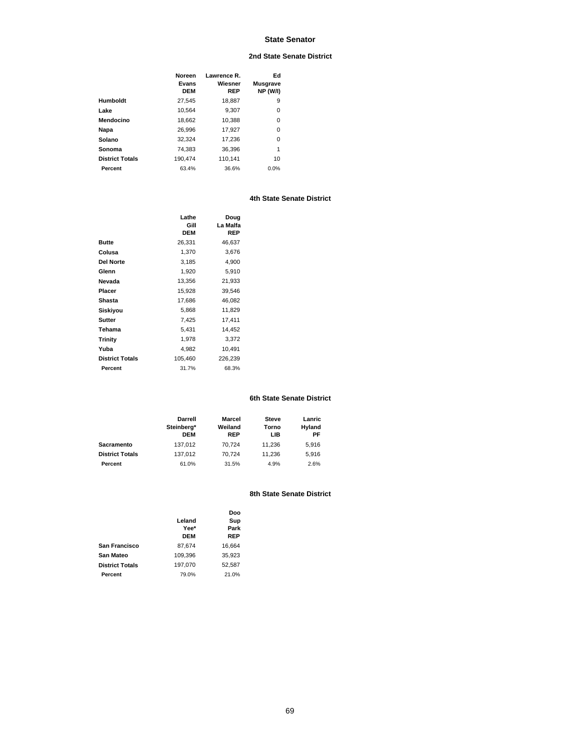# **2nd State Senate District**

|                        | Noreen<br>Evans<br><b>DEM</b> | Lawrence R.<br>Wiesner<br>REP | Ed<br><b>Musgrave</b><br><b>NP (W/I)</b> |
|------------------------|-------------------------------|-------------------------------|------------------------------------------|
| Humboldt               | 27.545                        | 18.887                        | 9                                        |
| Lake                   | 10.564                        | 9.307                         | 0                                        |
| Mendocino              | 18.662                        | 10,388                        | 0                                        |
| Napa                   | 26.996                        | 17.927                        | 0                                        |
| Solano                 | 32,324                        | 17.236                        | 0                                        |
| Sonoma                 | 74.383                        | 36.396                        | 1                                        |
| <b>District Totals</b> | 190.474                       | 110.141                       | 10                                       |
| Percent                | 63.4%                         | 36.6%                         | 0.0%                                     |

# **4th State Senate District**

|                        | Lathe<br>Gill<br><b>DEM</b> | Doug<br>La Malfa<br>REP |
|------------------------|-----------------------------|-------------------------|
| <b>Butte</b>           | 26,331                      | 46,637                  |
| Colusa                 | 1,370                       | 3,676                   |
| <b>Del Norte</b>       | 3,185                       | 4,900                   |
| Glenn                  | 1,920                       | 5,910                   |
| Nevada                 | 13,356                      | 21,933                  |
| Placer                 | 15,928                      | 39,546                  |
| Shasta                 | 17,686                      | 46,082                  |
| Siskiyou               | 5.868                       | 11,829                  |
| Sutter                 | 7,425                       | 17,411                  |
| Tehama                 | 5,431                       | 14,452                  |
| <b>Trinity</b>         | 1,978                       | 3,372                   |
| Yuba                   | 4.982                       | 10,491                  |
| <b>District Totals</b> | 105,460                     | 226,239                 |
| Percent                | 31.7%                       | 68.3%                   |

## **6th State Senate District**

|                        | Darrell<br>Steinberg*<br><b>DEM</b> | Marcel<br>Weiland<br>REP | <b>Steve</b><br>Torno<br>LIB | Lanric<br>Hyland<br>РF |
|------------------------|-------------------------------------|--------------------------|------------------------------|------------------------|
| Sacramento             | 137.012                             | 70.724                   | 11.236                       | 5.916                  |
| <b>District Totals</b> | 137.012                             | 70.724                   | 11.236                       | 5.916                  |
| Percent                | 61.0%                               | 31.5%                    | 4.9%                         | 2.6%                   |

|                        |            | Doo    |
|------------------------|------------|--------|
|                        | Leland     | Sup    |
|                        | Yee*       | Park   |
|                        | <b>DEM</b> | REP    |
| San Francisco          | 87.674     | 16.664 |
| San Mateo              | 109.396    | 35.923 |
| <b>District Totals</b> | 197.070    | 52.587 |
| Percent                | 79.0%      | 21.0%  |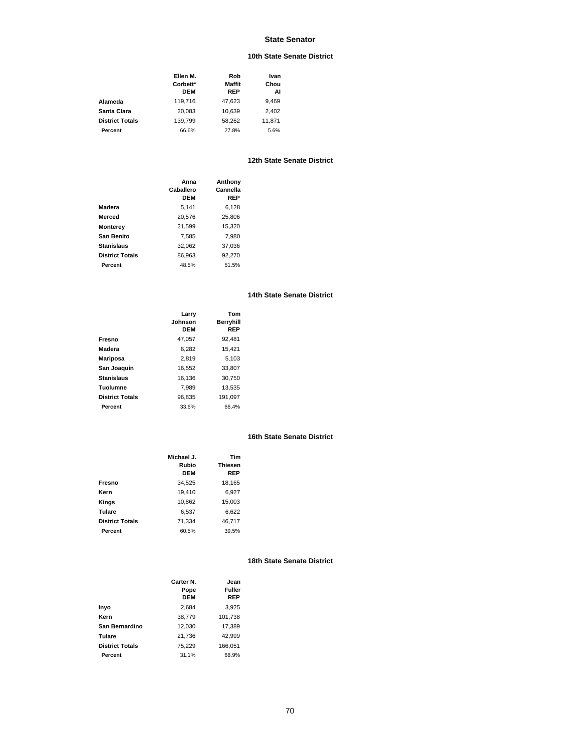# **10th State Senate District**

|                        | Ellen M.<br>Corbett*<br><b>DEM</b> | Rob<br>Maffit<br>REP | Ivan<br>Chou<br>AI |
|------------------------|------------------------------------|----------------------|--------------------|
| Alameda                | 119.716                            | 47.623               | 9.469              |
| Santa Clara            | 20.083                             | 10.639               | 2,402              |
| <b>District Totals</b> | 139.799                            | 58.262               | 11.871             |
| Percent                | 66.6%                              | 27.8%                | 5.6%               |

## **12th State Senate District**

|                        | Anna<br>Caballero<br>DFM | Anthony<br>Cannella<br>REP |
|------------------------|--------------------------|----------------------------|
| Madera                 | 5.141                    | 6,128                      |
| Merced                 | 20,576                   | 25,806                     |
| <b>Monterey</b>        | 21,599                   | 15,320                     |
| San Benito             | 7.585                    | 7.980                      |
| <b>Stanislaus</b>      | 32.062                   | 37,036                     |
| <b>District Totals</b> | 86.963                   | 92.270                     |
| Percent                | 48.5%                    | 51.5%                      |

### **14th State Senate District**

|                        | Larry<br>Johnson<br><b>DEM</b> | Tom<br>Berryhill<br>REP |
|------------------------|--------------------------------|-------------------------|
| Fresno                 | 47.057                         | 92.481                  |
| Madera                 | 6.282                          | 15,421                  |
| <b>Mariposa</b>        | 2,819                          | 5.103                   |
| San Joaquin            | 16.552                         | 33,807                  |
| <b>Stanislaus</b>      | 16.136                         | 30.750                  |
| Tuolumne               | 7.989                          | 13.535                  |
| <b>District Totals</b> | 96.835                         | 191.097                 |
| Percent                | 33.6%                          | 66.4%                   |

# **16th State Senate District**

|                        | Michael J.<br>Rubio<br><b>DEM</b> | Tim<br><b>Thiesen</b><br>REP |
|------------------------|-----------------------------------|------------------------------|
| Fresno                 | 34,525                            | 18,165                       |
| Kern                   | 19.410                            | 6,927                        |
| Kings                  | 10,862                            | 15,003                       |
| Tulare                 | 6,537                             | 6,622                        |
| <b>District Totals</b> | 71.334                            | 46.717                       |
| Percent                | 60.5%                             | 39.5%                        |

|                        | Carter N.<br>Pope<br><b>DEM</b> | Jean<br>Fuller<br>REP |
|------------------------|---------------------------------|-----------------------|
| Inyo                   | 2,684                           | 3,925                 |
| Kern                   | 38,779                          | 101,738               |
| San Bernardino         | 12,030                          | 17.389                |
| Tulare                 | 21,736                          | 42,999                |
| <b>District Totals</b> | 75.229                          | 166.051               |
| Percent                | 31.1%                           | 68.9%                 |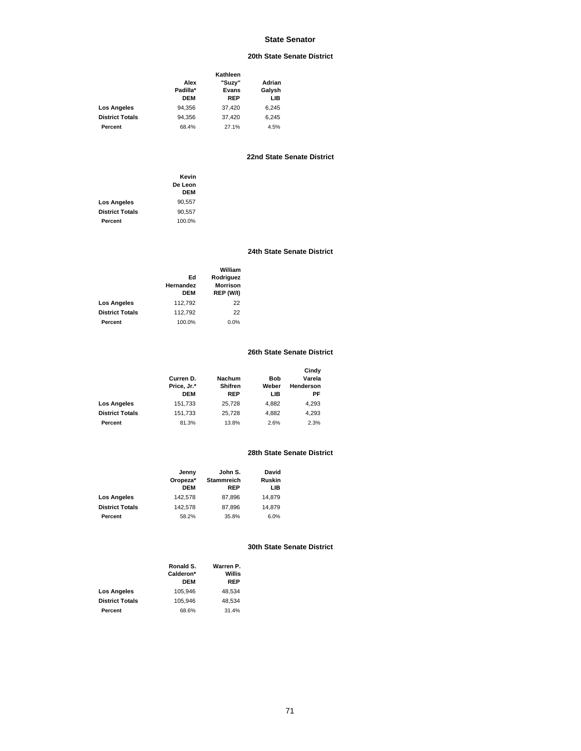# **20th State Senate District**

|                        | Kathleen   |        |        |
|------------------------|------------|--------|--------|
|                        | Alex       | "Suzy" | Adrian |
|                        | Padilla*   | Evans  | Galysh |
|                        | <b>DEM</b> | REP    | LIB    |
| <b>Los Angeles</b>     | 94.356     | 37.420 | 6,245  |
| <b>District Totals</b> | 94.356     | 37,420 | 6.245  |
| Percent                | 68.4%      | 27.1%  | 4.5%   |

# **22nd State Senate District**

|                        | Kevin   |
|------------------------|---------|
|                        | De Leon |
|                        | DFM     |
| Los Angeles            | 90,557  |
| <b>District Totals</b> | 90.557  |
| Percent                | 100.0%  |

## **24th State Senate District**

|                        |                 | William                      |
|------------------------|-----------------|------------------------------|
|                        | Ed<br>Hernandez | Rodriguez<br><b>Morrison</b> |
|                        | <b>DEM</b>      | REP (W/I)                    |
| <b>Los Angeles</b>     | 112,792         | 22                           |
| <b>District Totals</b> | 112.792         | 22                           |
| Percent                | 100.0%          | 0.0%                         |

# **26th State Senate District**

|                        | Curren D.<br>Price, Jr.*<br><b>DEM</b> | <b>Nachum</b><br>Shifren<br>REP | Bob<br>Weber<br>LIB | Cindy<br>Varela<br>Henderson<br>РF |
|------------------------|----------------------------------------|---------------------------------|---------------------|------------------------------------|
| <b>Los Angeles</b>     | 151,733                                | 25.728                          | 4.882               | 4,293                              |
| <b>District Totals</b> | 151,733                                | 25.728                          | 4.882               | 4,293                              |
| Percent                | 81.3%                                  | 13.8%                           | 2.6%                | 2.3%                               |

# **28th State Senate District**

|                        | Jenny<br>Oropeza*<br><b>DEM</b> | John S.<br><b>Stammreich</b><br><b>REP</b> | David<br>Ruskin<br>LIB |
|------------------------|---------------------------------|--------------------------------------------|------------------------|
| <b>Los Angeles</b>     | 142.578                         | 87.896                                     | 14.879                 |
| <b>District Totals</b> | 142.578                         | 87,896                                     | 14,879                 |
| Percent                | 58.2%                           | 35.8%                                      | 6.0%                   |

|                        | Ronald S.<br>Calderon*<br><b>DEM</b> | Warren P.<br>Willis<br>REP |
|------------------------|--------------------------------------|----------------------------|
| <b>Los Angeles</b>     | 105.946                              | 48.534                     |
| <b>District Totals</b> | 105.946                              | 48.534                     |
| Percent                | 68.6%                                | 31.4%                      |